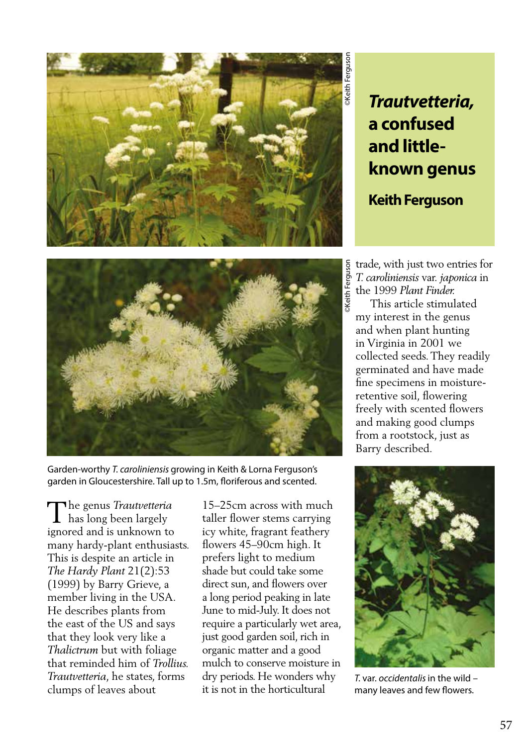

## *Trautvetteria,*  **a confused and littleknown genus**

**Keith Ferguson**



Garden-worthy *T. caroliniensis* growing in Keith & Lorna Ferguson's garden in Gloucestershire. Tall up to 1.5m, floriferous and scented.

The genus *Trautvetteria*<br>has long been largely has long been largely ignored and is unknown to many hardy-plant enthusiasts. This is despite an article in *The Hardy Plant* 21(2):53 (1999) by Barry Grieve, a member living in the USA. He describes plants from the east of the US and says that they look very like a *Thalictrum* but with foliage that reminded him of *Trollius. Trautvetteria*, he states, forms clumps of leaves about

15–25cm across with much taller flower stems carrying icy white, fragrant feathery flowers 45–90cm high. It prefers light to medium shade but could take some direct sun, and flowers over a long period peaking in late June to mid-July. It does not require a particularly wet area, just good garden soil, rich in organic matter and a good mulch to conserve moisture in dry periods. He wonders why it is not in the horticultural

trade, with just two entries for *T. caroliniensis* var. *japonica* in the 1999 *Plant Finder.* 

 This article stimulated my interest in the genus and when plant hunting in Virginia in 2001 we collected seeds. They readily germinated and have made fine specimens in moistureretentive soil, flowering freely with scented flowers and making good clumps from a rootstock, just as Barry described.



*T.* var. *occidentalis* in the wild – many leaves and few flowers.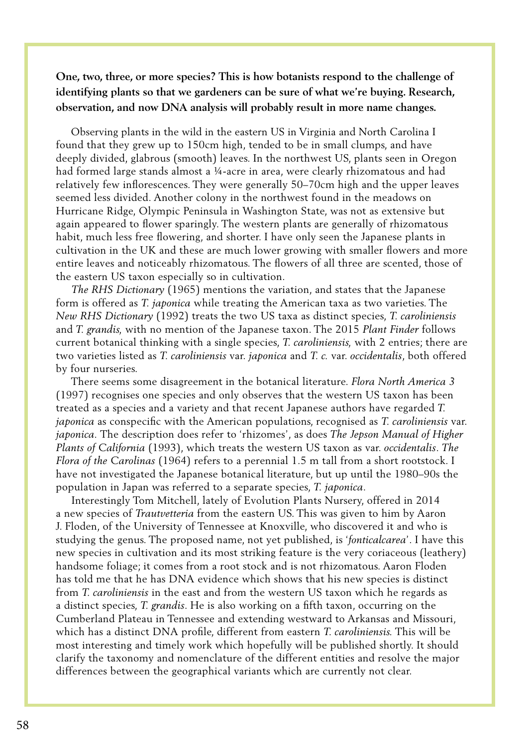**One, two, three, or more species? This is how botanists respond to the challenge of identifying plants so that we gardeners can be sure of what we're buying. Research, observation, and now DNA analysis will probably result in more name changes.**

 Observing plants in the wild in the eastern US in Virginia and North Carolina I found that they grew up to 150cm high, tended to be in small clumps, and have deeply divided, glabrous (smooth) leaves. In the northwest US, plants seen in Oregon had formed large stands almost a ¼-acre in area, were clearly rhizomatous and had relatively few inflorescences. They were generally 50–70cm high and the upper leaves seemed less divided. Another colony in the northwest found in the meadows on Hurricane Ridge, Olympic Peninsula in Washington State, was not as extensive but again appeared to flower sparingly. The western plants are generally of rhizomatous habit, much less free flowering, and shorter. I have only seen the Japanese plants in cultivation in the UK and these are much lower growing with smaller flowers and more entire leaves and noticeably rhizomatous. The flowers of all three are scented, those of the eastern US taxon especially so in cultivation.

 *The RHS Dictionary* (1965) mentions the variation, and states that the Japanese form is offered as *T. japonica* while treating the American taxa as two varieties. The *New RHS Dictionary* (1992) treats the two US taxa as distinct species, *T. caroliniensis* and *T. grandis,* with no mention of the Japanese taxon. The 2015 *Plant Finder* follows current botanical thinking with a single species, *T. caroliniensis,* with 2 entries; there are two varieties listed as *T. caroliniensis* var. *japonica* and *T. c.* var. *occidentalis*, both offered by four nurseries.

 There seems some disagreement in the botanical literature. *Flora North America 3* (1997) recognises one species and only observes that the western US taxon has been treated as a species and a variety and that recent Japanese authors have regarded *T. japonica* as conspecific with the American populations, recognised as *T. caroliniensis* var. *japonica.* The description does refer to 'rhizomes', as does *The Jepson Manual of Higher Plants of California* (1993), which treats the western US taxon as var. *occidentalis*. *The Flora of the Carolinas* (1964) refers to a perennial 1.5 m tall from a short rootstock. I have not investigated the Japanese botanical literature, but up until the 1980–90s the population in Japan was referred to a separate species, *T. japonica*.

 Interestingly Tom Mitchell, lately of Evolution Plants Nursery, offered in 2014 a new species of *Trautvetteria* from the eastern US. This was given to him by Aaron J. Floden, of the University of Tennessee at Knoxville, who discovered it and who is studying the genus. The proposed name, not yet published, is '*fonticalcarea*'. I have this new species in cultivation and its most striking feature is the very coriaceous (leathery) handsome foliage; it comes from a root stock and is not rhizomatous. Aaron Floden has told me that he has DNA evidence which shows that his new species is distinct from *T. caroliniensis* in the east and from the western US taxon which he regards as a distinct species, *T. grandis*. He is also working on a fifth taxon, occurring on the Cumberland Plateau in Tennessee and extending westward to Arkansas and Missouri, which has a distinct DNA profile, different from eastern *T. caroliniensis.* This will be most interesting and timely work which hopefully will be published shortly. It should clarify the taxonomy and nomenclature of the different entities and resolve the major differences between the geographical variants which are currently not clear.